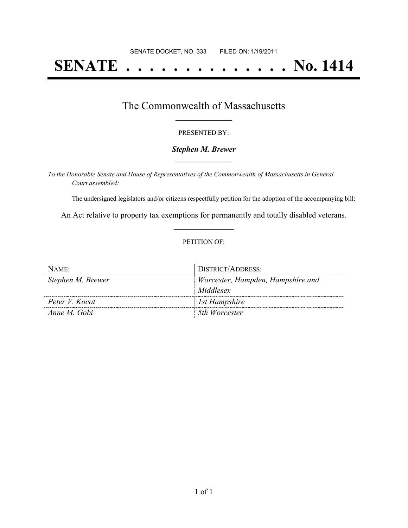# **SENATE . . . . . . . . . . . . . . No. 1414**

### The Commonwealth of Massachusetts **\_\_\_\_\_\_\_\_\_\_\_\_\_\_\_\_\_**

#### PRESENTED BY:

#### *Stephen M. Brewer* **\_\_\_\_\_\_\_\_\_\_\_\_\_\_\_\_\_**

*To the Honorable Senate and House of Representatives of the Commonwealth of Massachusetts in General Court assembled:*

The undersigned legislators and/or citizens respectfully petition for the adoption of the accompanying bill:

An Act relative to property tax exemptions for permanently and totally disabled veterans. **\_\_\_\_\_\_\_\_\_\_\_\_\_\_\_**

#### PETITION OF:

| NAME:             | DISTRICT/ADDRESS:                 |
|-------------------|-----------------------------------|
| Stephen M. Brewer | Worcester, Hampden, Hampshire and |
|                   | Middlesex                         |
| Peter V. Kocot    | Ist Hampshire                     |
| Anne M. Gobi      | 5th Worcester                     |